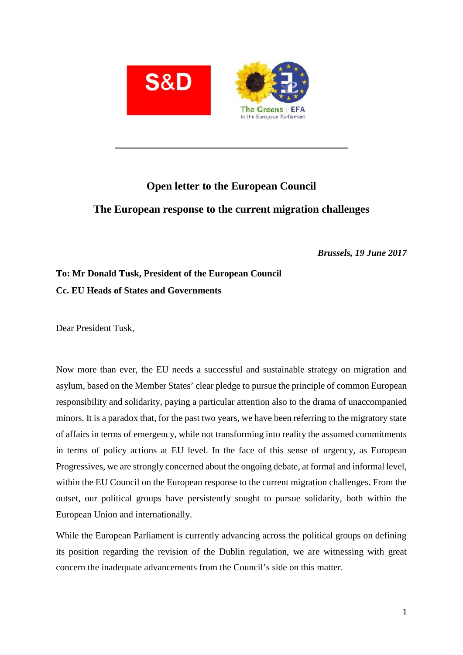

## **Open letter to the European Council The European response to the current migration challenges**

*Brussels, 19 June 2017*

## **To: Mr Donald Tusk, President of the European Council Cc. EU Heads of States and Governments**

Dear President Tusk,

Now more than ever, the EU needs a successful and sustainable strategy on migration and asylum, based on the Member States' clear pledge to pursue the principle of common European responsibility and solidarity, paying a particular attention also to the drama of unaccompanied minors. It is a paradox that, for the past two years, we have been referring to the migratory state of affairs in terms of emergency, while not transforming into reality the assumed commitments in terms of policy actions at EU level. In the face of this sense of urgency, as European Progressives, we are strongly concerned about the ongoing debate, at formal and informal level, within the EU Council on the European response to the current migration challenges. From the outset, our political groups have persistently sought to pursue solidarity, both within the European Union and internationally.

While the European Parliament is currently advancing across the political groups on defining its position regarding the revision of the Dublin regulation, we are witnessing with great concern the inadequate advancements from the Council's side on this matter.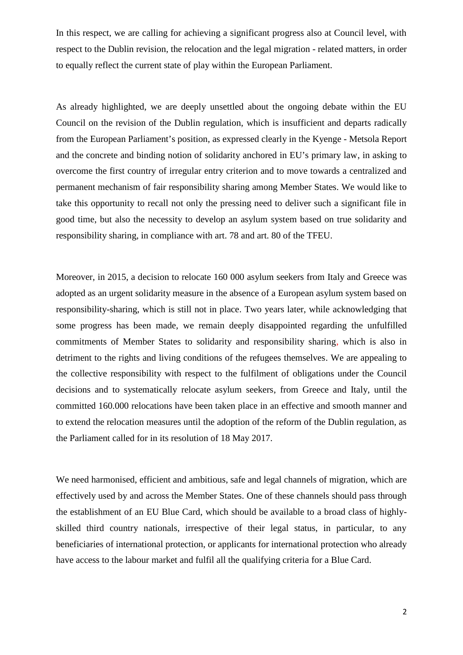In this respect, we are calling for achieving a significant progress also at Council level, with respect to the Dublin revision, the relocation and the legal migration - related matters, in order to equally reflect the current state of play within the European Parliament.

As already highlighted, we are deeply unsettled about the ongoing debate within the EU Council on the revision of the Dublin regulation, which is insufficient and departs radically from the European Parliament's position, as expressed clearly in the Kyenge - Metsola Report and the concrete and binding notion of solidarity anchored in EU's primary law, in asking to overcome the first country of irregular entry criterion and to move towards a centralized and permanent mechanism of fair responsibility sharing among Member States. We would like to take this opportunity to recall not only the pressing need to deliver such a significant file in good time, but also the necessity to develop an asylum system based on true solidarity and responsibility sharing, in compliance with art. 78 and art. 80 of the TFEU.

Moreover, in 2015, a decision to relocate 160 000 asylum seekers from Italy and Greece was adopted as an urgent solidarity measure in the absence of a European asylum system based on responsibility-sharing, which is still not in place. Two years later, while acknowledging that some progress has been made, we remain deeply disappointed regarding the unfulfilled commitments of Member States to solidarity and responsibility sharing, which is also in detriment to the rights and living conditions of the refugees themselves. We are appealing to the collective responsibility with respect to the fulfilment of obligations under the Council decisions and to systematically relocate asylum seekers, from Greece and Italy, until the committed 160.000 relocations have been taken place in an effective and smooth manner and to extend the relocation measures until the adoption of the reform of the Dublin regulation, as the Parliament called for in its resolution of 18 May 2017.

We need harmonised, efficient and ambitious, safe and legal channels of migration, which are effectively used by and across the Member States. One of these channels should pass through the establishment of an EU Blue Card, which should be available to a broad class of highly skilled third country nationals, irrespective of their legal status, in particular, to any beneficiaries of international protection, or applicants for international protection who already have access to the labour market and fulfil all the qualifying criteria for a Blue Card.